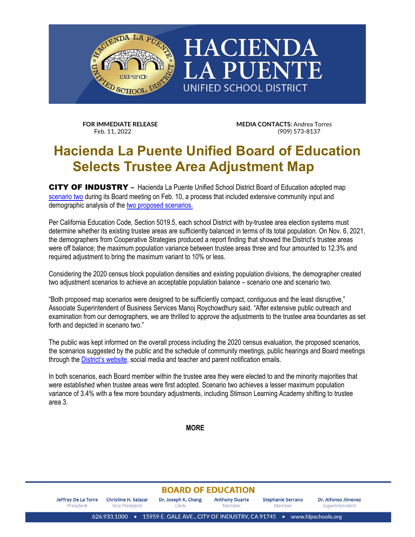

**FOR IMMEDIATE RELEASE MEDIA CONTACTS:** Andrea Torres Feb. 11. 2022<br>
Feb. 11. 2022 (909) (909) 573-8137

## **Hacienda La Puente Unified Board of Education Selects Trustee Area Adjustment Map**

CITY OF INDUSTRY **–** Hacienda La Puente Unified School District Board of Education adopted map [scenario two](https://www.hlpschools.org/file/1522480830219/1641370021508/6183315465093149529.pdf) during its Board meeting on Feb. 10, a process that included extensive community input and demographic analysis of the [two proposed scenarios.](https://www.hlpschools.org/file/1522480830219/1379140869497/2174086609562375433.pdf)

Per California Education Code, Section 5019.5, each school District with by-trustee area election systems must determine whether its existing trustee areas are sufficiently balanced in terms of its total population. On Nov. 6, 2021, the demographers from Cooperative Strategies produced a report finding that showed the District's trustee areas were off balance; the maximum population variance between trustee areas three and four amounted to 12.3% and required adjustment to bring the maximum variant to 10% or less.

Considering the 2020 census block population densities and existing population divisions, the demographer created two adjustment scenarios to achieve an acceptable population balance – scenario one and scenario two.

"Both proposed map scenarios were designed to be sufficiently compact, contiguous and the least disruptive," Associate Superintendent of Business Services Manoj Roychowdhury said. "After extensive public outreach and examination from our demographers, we are thrilled to approve the adjustments to the trustee area boundaries as set forth and depicted in scenario two."

The public was kept informed on the overall process including the 2020 census evaluation, the proposed scenarios, the scenarios suggested by the public and the schedule of community meetings, public hearings and Board meetings through the [District's](https://www.hlpschools.org/2020census) website, social media and teacher and parent notification emails.

In both scenarios, each Board member within the trustee area they were elected to and the minority majorities that were established when trustee areas were first adopted. Scenario two achieves a lesser maximum population variance of 3.4% with a few more boundary adjustments, including Stimson Learning Academy shifting to trustee area 3.

**MORE**

## **BOARD OF EDUCATION**

| Jeffrey De La Torre | Christine H. Salazar | Dr. Joseph K. Chang | <b>Anthony Duarte</b> | <b>Stephanie Serrano</b> | Dr. Alfonso Jimenez |
|---------------------|----------------------|---------------------|-----------------------|--------------------------|---------------------|
| President           | Vice President       | ∩erk ∴              | Member                | Member                   | Superintendent      |